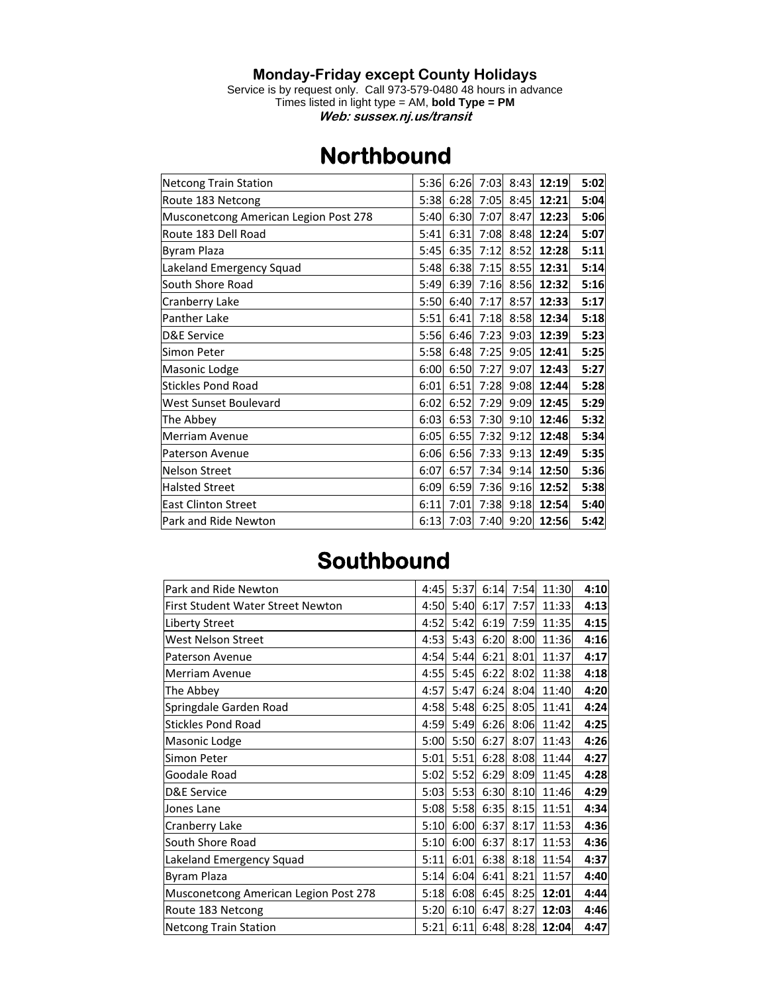## **Monday-Friday except County Holidays**

Service is by request only. Call 973-579-0480 48 hours in advance Times listed in light type = AM, **bold Type = PM Web: sussex.nj.us/transit** 

## **Northbound**

| <b>Netcong Train Station</b>          | 5:36 | 6:26 | 7:03 | 8:43 | 12:19 | 5:02 |
|---------------------------------------|------|------|------|------|-------|------|
| Route 183 Netcong                     | 5:38 | 6:28 | 7:05 | 8:45 | 12:21 | 5:04 |
| Musconetcong American Legion Post 278 | 5:40 | 6:30 | 7:07 | 8:47 | 12:23 | 5:06 |
| Route 183 Dell Road                   | 5:41 | 6:31 | 7:08 | 8:48 | 12:24 | 5:07 |
| Byram Plaza                           | 5:45 | 6:35 | 7:12 | 8:52 | 12:28 | 5:11 |
| Lakeland Emergency Squad              | 5:48 | 6:38 | 7:15 | 8:55 | 12:31 | 5:14 |
| South Shore Road                      | 5:49 | 6:39 | 7:16 | 8:56 | 12:32 | 5:16 |
| Cranberry Lake                        | 5:50 | 6:40 | 7:17 | 8:57 | 12:33 | 5:17 |
| <b>Panther Lake</b>                   | 5:51 | 6:41 | 7:18 | 8:58 | 12:34 | 5:18 |
| <b>D&amp;E Service</b>                | 5:56 | 6:46 | 7:23 | 9:03 | 12:39 | 5:23 |
| Simon Peter                           | 5:58 | 6:48 | 7:25 | 9:05 | 12:41 | 5:25 |
| Masonic Lodge                         | 6:00 | 6:50 | 7:27 | 9:07 | 12:43 | 5:27 |
| <b>Stickles Pond Road</b>             | 6:01 | 6:51 | 7:28 | 9:08 | 12:44 | 5:28 |
| West Sunset Boulevard                 | 6:02 | 6:52 | 7:29 | 9:09 | 12:45 | 5:29 |
| The Abbey                             | 6:03 | 6:53 | 7:30 | 9:10 | 12:46 | 5:32 |
| <b>Merriam Avenue</b>                 | 6:05 | 6:55 | 7:32 | 9:12 | 12:48 | 5:34 |
| Paterson Avenue                       | 6:06 | 6:56 | 7:33 | 9:13 | 12:49 | 5:35 |
| <b>Nelson Street</b>                  | 6:07 | 6:57 | 7:34 | 9:14 | 12:50 | 5:36 |
| <b>Halsted Street</b>                 | 6:09 | 6:59 | 7:36 | 9:16 | 12:52 | 5:38 |
| <b>East Clinton Street</b>            | 6:11 | 7:01 | 7:38 | 9:18 | 12:54 | 5:40 |
| Park and Ride Newton                  | 6:13 | 7:03 | 7:40 | 9:20 | 12:56 | 5:42 |

## **Southbound**

| Park and Ride Newton                     | 4:45 | 5:37 | 6:14 | 7:54 | 11:30 | 4:10 |
|------------------------------------------|------|------|------|------|-------|------|
| <b>First Student Water Street Newton</b> | 4:50 | 5:40 | 6:17 | 7:57 | 11:33 | 4:13 |
| <b>Liberty Street</b>                    | 4:52 | 5:42 | 6:19 | 7:59 | 11:35 | 4:15 |
| <b>West Nelson Street</b>                | 4:53 | 5:43 | 6:20 | 8:00 | 11:36 | 4:16 |
| <b>Paterson Avenue</b>                   | 4:54 | 5:44 | 6:21 | 8:01 | 11:37 | 4:17 |
| <b>Merriam Avenue</b>                    | 4:55 | 5:45 | 6:22 | 8:02 | 11:38 | 4:18 |
| The Abbey                                | 4:57 | 5:47 | 6:24 | 8:04 | 11:40 | 4:20 |
| Springdale Garden Road                   | 4:58 | 5:48 | 6:25 | 8:05 | 11:41 | 4:24 |
| <b>Stickles Pond Road</b>                | 4:59 | 5:49 | 6:26 | 8:06 | 11:42 | 4:25 |
| Masonic Lodge                            | 5:00 | 5:50 | 6:27 | 8:07 | 11:43 | 4:26 |
| Simon Peter                              | 5:01 | 5:51 | 6:28 | 8:08 | 11:44 | 4:27 |
| Goodale Road                             | 5:02 | 5:52 | 6:29 | 8:09 | 11:45 | 4:28 |
| D&E Service                              | 5:03 | 5:53 | 6:30 | 8:10 | 11:46 | 4:29 |
| Jones Lane                               | 5:08 | 5:58 | 6:35 | 8:15 | 11:51 | 4:34 |
| Cranberry Lake                           | 5:10 | 6:00 | 6:37 | 8:17 | 11:53 | 4:36 |
| South Shore Road                         | 5:10 | 6:00 | 6:37 | 8:17 | 11:53 | 4:36 |
| Lakeland Emergency Squad                 | 5:11 | 6:01 | 6:38 | 8:18 | 11:54 | 4:37 |
| Byram Plaza                              | 5:14 | 6:04 | 6:41 | 8:21 | 11:57 | 4:40 |
| Musconetcong American Legion Post 278    | 5:18 | 6:08 | 6:45 | 8:25 | 12:01 | 4:44 |
| Route 183 Netcong                        | 5:20 | 6:10 | 6:47 | 8:27 | 12:03 | 4:46 |
| Netcong Train Station                    | 5:21 | 6:11 | 6:48 | 8:28 | 12:04 | 4:47 |